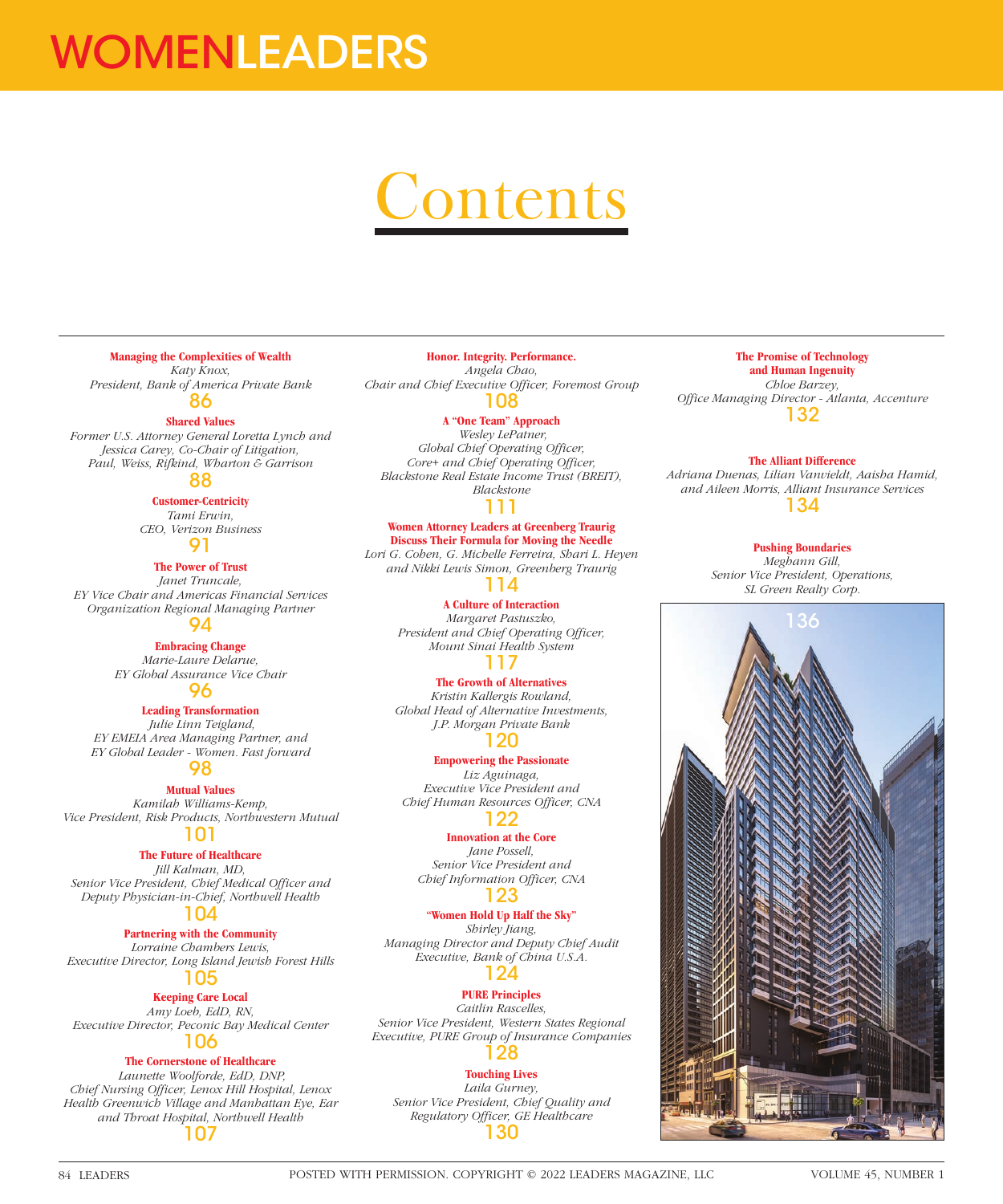# WOMENLEADERS

# Contents

#### **Managing the Complexities of Wealth**

*Katy Knox, President, Bank of America Private Bank* 86

#### **Shared Values**

*Former U.S. Attorney General Loretta Lynch and Jessica Carey, Co-Chair of Litigation, Paul, Weiss, Rifkind, Wharton & Garrison*

# 88

**Customer-Centricity**

*Tami Erwin, CEO, Verizon Business* 91

### **The Power of Trust**

*Janet Truncale, EY Vice Chair and Americas Financial Services Organization Regional Managing Partner* 94

**Embracing Change** *Marie-Laure Delarue, EY Global Assurance Vice Chair*

# 96

**Leading Transformation**

 *Julie Linn Teigland, EY EMEIA Area Managing Partner, and EY Global Leader - Women. Fast forward*

# 98

**Mutual Values** *Kamilah Williams-Kemp, Vice President, Risk Products, Northwestern Mutual*

### 101

#### **The Future of Healthcare**

*Jill Kalman, MD, Senior Vice President, Chief Medical Officer and Deputy Physician-in-Chief, Northwell Health*

# 104

**Partnering with the Community** *Lorraine Chambers Lewis,* 

*Executive Director, Long Island Jewish Forest Hills* 105

#### **Keeping Care Local**

*Amy Loeb, EdD, RN, Executive Director, Peconic Bay Medical Center*

## 106

## **The Cornerstone of Healthcare**

 *Launette Woolforde, EdD, DNP, Chief Nursing Officer, Lenox Hill Hospital, Lenox Health Greenwich Village and Manhattan Eye, Ear and Throat Hospital, Northwell Health* 107

#### **Honor. Integrity. Performance.** *Angela Chao, Chair and Chief Executive Officer, Foremost Group*

108

#### **A "One Team" Approach**

 *Wesley LePatner, Global Chief Operating Officer, Core+ and Chief Operating Officer, Blackstone Real Estate Income Trust (BREIT), Blackstone* 111

### **Women Attorney Leaders at Greenberg Traurig Discuss Their Formula for Moving the Needle**

*Lori G. Cohen, G. Michelle Ferreira, Shari L. Heyen and Nikki Lewis Simon, Greenberg Traurig* 114

#### **A Culture of Interaction** *Margaret Pastuszko, President and Chief Operating Officer, Mount Sinai Health System* 117

#### **The Growth of Alternatives**

*Kristin Kallergis Rowland, Global Head of Alternative Investments, J.P. Morgan Private Bank* 120

**Empowering the Passionate** *Liz Aguinaga, Executive Vice President and Chief Human Resources Officer, CNA* 122

#### **Innovation at the Core**

*Jane Possell, Senior Vice President and Chief Information Officer, CNA*

#### 123

**"Women Hold Up Half the Sky"** *Shirley Jiang, Managing Director and Deputy Chief Audit Executive, Bank of China U.S.A.* 124

### **PURE Principles**

*Caitlin Rascelles, Senior Vice President, Western States Regional Executive, PURE Group of Insurance Companies* 128

#### **Touching Lives**

*Laila Gurney, Senior Vice President, Chief Quality and Regulatory Officer, GE Healthcare* 130

#### **The Promise of Technology and Human Ingenuity** *Chloe Barzey, Office Managing Director - Atlanta, Accenture* 132

#### **The Alliant Difference**

*Adriana Duenas, Lilian Vanvieldt, Aaisha Hamid, and Aileen Morris, Alliant Insurance Services* 134

**Pushing Boundaries**

*Meghann Gill, Senior Vice President, Operations, SL Green Realty Corp.*